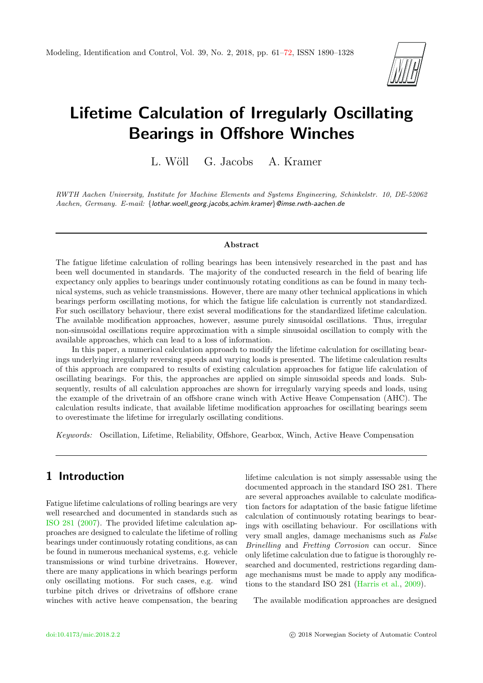

# Lifetime Calculation of Irregularly Oscillating Bearings in Offshore Winches

L. Wöll G. Jacobs A. Kramer

RWTH Aachen University, Institute for Machine Elements and Systems Engineering, Schinkelstr. 10, DE-52062 Aachen, Germany. E-mail: {lothar.woell,georg.jacobs,achim.kramer}@imse.rwth-aachen.de

#### Abstract

The fatigue lifetime calculation of rolling bearings has been intensively researched in the past and has been well documented in standards. The majority of the conducted research in the field of bearing life expectancy only applies to bearings under continuously rotating conditions as can be found in many technical systems, such as vehicle transmissions. However, there are many other technical applications in which bearings perform oscillating motions, for which the fatigue life calculation is currently not standardized. For such oscillatory behaviour, there exist several modifications for the standardized lifetime calculation. The available modification approaches, however, assume purely sinusoidal oscillations. Thus, irregular non-sinusoidal oscillations require approximation with a simple sinusoidal oscillation to comply with the available approaches, which can lead to a loss of information.

In this paper, a numerical calculation approach to modify the lifetime calculation for oscillating bearings underlying irregularly reversing speeds and varying loads is presented. The lifetime calculation results of this approach are compared to results of existing calculation approaches for fatigue life calculation of oscillating bearings. For this, the approaches are applied on simple sinusoidal speeds and loads. Subsequently, results of all calculation approaches are shown for irregularly varying speeds and loads, using the example of the drivetrain of an offshore crane winch with Active Heave Compensation (AHC). The calculation results indicate, that available lifetime modification approaches for oscillating bearings seem to overestimate the lifetime for irregularly oscillating conditions.

Keywords: Oscillation, Lifetime, Reliability, Offshore, Gearbox, Winch, Active Heave Compensation

# 1 Introduction

Fatigue lifetime calculations of rolling bearings are very well researched and documented in standards such as [ISO 281](#page-11-1) [\(2007\)](#page-11-1). The provided lifetime calculation approaches are designed to calculate the lifetime of rolling bearings under continuously rotating conditions, as can be found in numerous mechanical systems, e.g. vehicle transmissions or wind turbine drivetrains. However, there are many applications in which bearings perform only oscillating motions. For such cases, e.g. wind turbine pitch drives or drivetrains of offshore crane winches with active heave compensation, the bearing lifetime calculation is not simply assessable using the documented approach in the standard ISO 281. There are several approaches available to calculate modification factors for adaptation of the basic fatigue lifetime calculation of continuously rotating bearings to bearings with oscillating behaviour. For oscillations with very small angles, damage mechanisms such as False Brinelling and Fretting Corrosion can occur. Since only lifetime calculation due to fatigue is thoroughly researched and documented, restrictions regarding damage mechanisms must be made to apply any modifications to the standard ISO 281 [\(Harris et al.,](#page-10-0) [2009\)](#page-10-0).

The available modification approaches are designed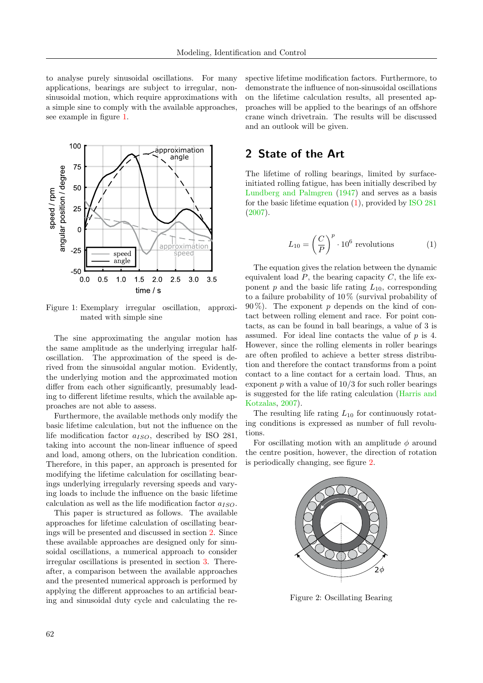to analyse purely sinusoidal oscillations. For many applications, bearings are subject to irregular, nonsinusoidal motion, which require approximations with a simple sine to comply with the available approaches, see example in figure [1.](#page-1-0)



<span id="page-1-0"></span>Figure 1: Exemplary irregular oscillation, approximated with simple sine

The sine approximating the angular motion has the same amplitude as the underlying irregular halfoscillation. The approximation of the speed is derived from the sinusoidal angular motion. Evidently, the underlying motion and the approximated motion differ from each other significantly, presumably leading to different lifetime results, which the available approaches are not able to assess.

Furthermore, the available methods only modify the basic lifetime calculation, but not the influence on the life modification factor  $a_{ISO}$ , described by ISO 281, taking into account the non-linear influence of speed and load, among others, on the lubrication condition. Therefore, in this paper, an approach is presented for modifying the lifetime calculation for oscillating bearings underlying irregularly reversing speeds and varying loads to include the influence on the basic lifetime calculation as well as the life modification factor  $a_{ISO}$ .

This paper is structured as follows. The available approaches for lifetime calculation of oscillating bearings will be presented and discussed in section [2.](#page-1-1) Since these available approaches are designed only for sinusoidal oscillations, a numerical approach to consider irregular oscillations is presented in section [3.](#page-5-0) Thereafter, a comparison between the available approaches and the presented numerical approach is performed by applying the different approaches to an artificial bearing and sinusoidal duty cycle and calculating the respective lifetime modification factors. Furthermore, to demonstrate the influence of non-sinusoidal oscillations on the lifetime calculation results, all presented approaches will be applied to the bearings of an offshore crane winch drivetrain. The results will be discussed and an outlook will be given.

# <span id="page-1-1"></span>2 State of the Art

The lifetime of rolling bearings, limited by surfaceinitiated rolling fatigue, has been initially described by [Lundberg and Palmgren](#page-11-2) [\(1947\)](#page-11-2) and serves as a basis for the basic lifetime equation [\(1\)](#page-1-2), provided by [ISO 281](#page-11-1) [\(2007\)](#page-11-1).

<span id="page-1-2"></span>
$$
L_{10} = \left(\frac{C}{P}\right)^p \cdot 10^6 \text{ revolutions} \tag{1}
$$

The equation gives the relation between the dynamic equivalent load  $P$ , the bearing capacity  $C$ , the life exponent  $p$  and the basic life rating  $L_{10}$ , corresponding to a failure probability of 10 % (survival probability of  $90\%$ ). The exponent p depends on the kind of contact between rolling element and race. For point contacts, as can be found in ball bearings, a value of 3 is assumed. For ideal line contacts the value of  $p$  is 4. However, since the rolling elements in roller bearings are often profiled to achieve a better stress distribution and therefore the contact transforms from a point contact to a line contact for a certain load. Thus, an exponent  $p$  with a value of  $10/3$  for such roller bearings is suggested for the life rating calculation [\(Harris and](#page-10-1) [Kotzalas,](#page-10-1) [2007\)](#page-10-1).

The resulting life rating  $L_{10}$  for continuously rotating conditions is expressed as number of full revolutions.

For oscillating motion with an amplitude  $\phi$  around the centre position, however, the direction of rotation is periodically changing, see figure [2.](#page-1-3)



<span id="page-1-3"></span>Figure 2: Oscillating Bearing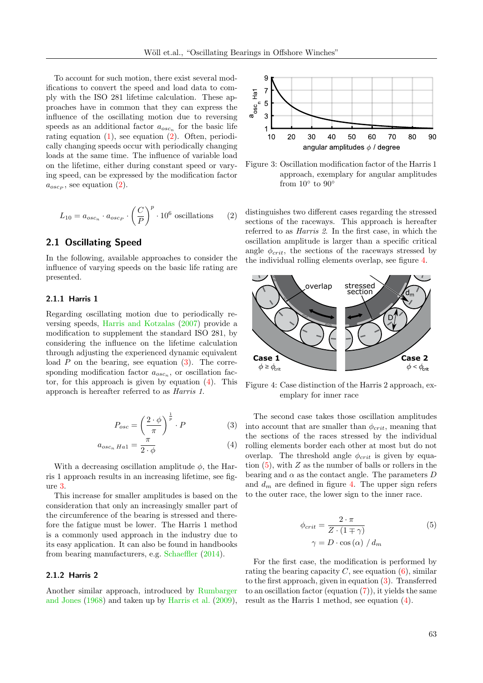To account for such motion, there exist several modifications to convert the speed and load data to comply with the ISO 281 lifetime calculation. These approaches have in common that they can express the influence of the oscillating motion due to reversing speeds as an additional factor  $a_{osc_n}$  for the basic life rating equation  $(1)$ , see equation  $(2)$ . Often, periodically changing speeds occur with periodically changing loads at the same time. The influence of variable load on the lifetime, either during constant speed or varying speed, can be expressed by the modification factor  $a_{osc_P}$ , see equation [\(2\)](#page-2-0).

$$
L_{10} = a_{osc_n} \cdot a_{osc_p} \cdot \left(\frac{C}{P}\right)^p \cdot 10^6 \text{ oscillations} \qquad (2)
$$

#### <span id="page-2-6"></span>2.1 Oscillating Speed

In the following, available approaches to consider the influence of varying speeds on the basic life rating are presented.

#### 2.1.1 Harris 1

Regarding oscillating motion due to periodically reversing speeds, [Harris and Kotzalas](#page-10-1) [\(2007\)](#page-10-1) provide a modification to supplement the standard ISO 281, by considering the influence on the lifetime calculation through adjusting the experienced dynamic equivalent load  $P$  on the bearing, see equation  $(3)$ . The corresponding modification factor  $a_{osc_n}$ , or oscillation factor, for this approach is given by equation  $(4)$ . This approach is hereafter referred to as Harris 1.

$$
P_{osc} = \left(\frac{2 \cdot \phi}{\pi}\right)^{\frac{1}{p}} \cdot P \tag{3}
$$

$$
a_{osc_n \ Ha1} = \frac{\pi}{2 \cdot \phi} \tag{4}
$$

With a decreasing oscillation amplitude  $\phi$ , the Harris 1 approach results in an increasing lifetime, see figure [3.](#page-2-3)

This increase for smaller amplitudes is based on the consideration that only an increasingly smaller part of the circumference of the bearing is stressed and therefore the fatigue must be lower. The Harris 1 method is a commonly used approach in the industry due to its easy application. It can also be found in handbooks from bearing manufacturers, e.g. [Schaeffler](#page-11-3) [\(2014\)](#page-11-3).

#### 2.1.2 Harris 2

Another similar approach, introduced by [Rumbarger](#page-11-4) [and Jones](#page-11-4) [\(1968\)](#page-11-4) and taken up by [Harris et al.](#page-10-0) [\(2009\)](#page-10-0),



<span id="page-2-3"></span>Figure 3: Oscillation modification factor of the Harris 1 approach, exemplary for angular amplitudes from  $10^{\circ}$  to  $90^{\circ}$ 

<span id="page-2-0"></span>distinguishes two different cases regarding the stressed sections of the raceways. This approach is hereafter referred to as Harris 2. In the first case, in which the oscillation amplitude is larger than a specific critical angle  $\phi_{crit}$ , the sections of the raceways stressed by the individual rolling elements overlap, see figure [4.](#page-2-4)



<span id="page-2-4"></span>Figure 4: Case distinction of the Harris 2 approach, exemplary for inner race

<span id="page-2-2"></span><span id="page-2-1"></span>The second case takes those oscillation amplitudes into account that are smaller than  $\phi_{crit}$ , meaning that the sections of the races stressed by the individual rolling elements border each other at most but do not overlap. The threshold angle  $\phi_{crit}$  is given by equation  $(5)$ , with  $Z$  as the number of balls or rollers in the bearing and  $\alpha$  as the contact angle. The parameters D and  $d_m$  are defined in figure [4.](#page-2-4) The upper sign refers to the outer race, the lower sign to the inner race.

<span id="page-2-5"></span>
$$
\phi_{crit} = \frac{2 \cdot \pi}{Z \cdot (1 \mp \gamma)}
$$
\n
$$
\gamma = D \cdot \cos(\alpha) / d_m
$$
\n(5)

For the first case, the modification is performed by rating the bearing capacity  $C$ , see equation  $(6)$ , similar to the first approach, given in equation [\(3\)](#page-2-1). Transferred to an oscillation factor (equation  $(7)$ ), it yields the same result as the Harris 1 method, see equation [\(4\)](#page-2-2).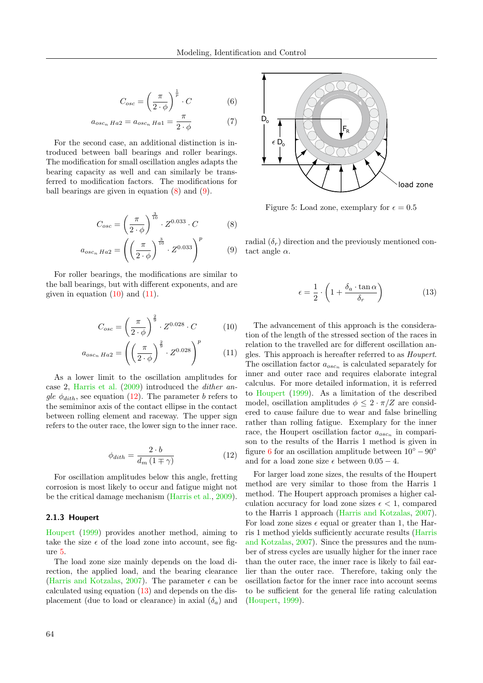$$
C_{osc} = \left(\frac{\pi}{2 \cdot \phi}\right)^{\frac{1}{p}} \cdot C \tag{6}
$$

$$
a_{osc_n Ha2} = a_{osc_n Ha1} = \frac{\pi}{2 \cdot \phi} \tag{7}
$$

For the second case, an additional distinction is introduced between ball bearings and roller bearings. The modification for small oscillation angles adapts the bearing capacity as well and can similarly be transferred to modification factors. The modifications for ball bearings are given in equation [\(8\)](#page-3-2) and [\(9\)](#page-3-3).

$$
C_{osc} = \left(\frac{\pi}{2 \cdot \phi}\right)^{\frac{3}{10}} \cdot Z^{0.033} \cdot C \tag{8}
$$

$$
a_{osc_n H a2} = \left( \left( \frac{\pi}{2 \cdot \phi} \right)^{\frac{3}{10}} \cdot Z^{0.033} \right)^p \tag{9}
$$

For roller bearings, the modifications are similar to the ball bearings, but with different exponents, and are given in equation  $(10)$  and  $(11)$ .

$$
C_{osc} = \left(\frac{\pi}{2 \cdot \phi}\right)^{\frac{2}{9}} \cdot Z^{0.028} \cdot C \tag{10}
$$

$$
a_{osc_n H a 2} = \left( \left( \frac{\pi}{2 \cdot \phi} \right)^{\frac{2}{9}} \cdot Z^{0.028} \right)^p \tag{11}
$$

As a lower limit to the oscillation amplitudes for case 2, [Harris et al.](#page-10-0) [\(2009\)](#page-10-0) introduced the dither angle  $\phi_{dith}$ , see equation [\(12\)](#page-3-6). The parameter b refers to the semiminor axis of the contact ellipse in the contact between rolling element and raceway. The upper sign refers to the outer race, the lower sign to the inner race.

$$
\phi_{dith} = \frac{2 \cdot b}{d_m \left(1 \mp \gamma\right)}\tag{12}
$$

For oscillation amplitudes below this angle, fretting corrosion is most likely to occur and fatigue might not be the critical damage mechanism [\(Harris et al.,](#page-10-0) [2009\)](#page-10-0).

#### 2.1.3 Houpert

[Houpert](#page-11-5) [\(1999\)](#page-11-5) provides another method, aiming to take the size  $\epsilon$  of the load zone into account, see figure [5.](#page-3-7)

The load zone size mainly depends on the load direction, the applied load, and the bearing clearance [\(Harris and Kotzalas,](#page-10-1) [2007\)](#page-10-1). The parameter  $\epsilon$  can be calculated using equation [\(13\)](#page-3-8) and depends on the displacement (due to load or clearance) in axial  $(\delta_a)$  and

<span id="page-3-1"></span><span id="page-3-0"></span>

<span id="page-3-7"></span>Figure 5: Load zone, exemplary for  $\epsilon = 0.5$ 

<span id="page-3-3"></span><span id="page-3-2"></span>radial  $(\delta_r)$  direction and the previously mentioned contact angle  $\alpha$ .

<span id="page-3-8"></span>
$$
\epsilon = \frac{1}{2} \cdot \left( 1 + \frac{\delta_a \cdot \tan \alpha}{\delta_r} \right) \tag{13}
$$

<span id="page-3-5"></span><span id="page-3-4"></span>The advancement of this approach is the consideration of the length of the stressed section of the races in relation to the travelled arc for different oscillation angles. This approach is hereafter referred to as Houpert. The oscillation factor  $a_{osc_n}$  is calculated separately for inner and outer race and requires elaborate integral calculus. For more detailed information, it is referred to [Houpert](#page-11-5) [\(1999\)](#page-11-5). As a limitation of the described model, oscillation amplitudes  $\phi \leq 2 \cdot \pi/Z$  are considered to cause failure due to wear and false brinelling rather than rolling fatigue. Exemplary for the inner race, the Houpert oscillation factor  $a_{osc_n}$  in comparison to the results of the Harris 1 method is given in figure [6](#page-4-0) for an oscillation amplitude between  $10^{\circ} - 90^{\circ}$ and for a load zone size  $\epsilon$  between  $0.05 - 4$ .

<span id="page-3-6"></span>For larger load zone sizes, the results of the Houpert method are very similar to those from the Harris 1 method. The Houpert approach promises a higher calculation accuracy for load zone sizes  $\epsilon < 1$ , compared to the Harris 1 approach [\(Harris and Kotzalas,](#page-10-1) [2007\)](#page-10-1). For load zone sizes  $\epsilon$  equal or greater than 1, the Harris 1 method yields sufficiently accurate results [\(Harris](#page-10-1) [and Kotzalas,](#page-10-1) [2007\)](#page-10-1). Since the pressures and the number of stress cycles are usually higher for the inner race than the outer race, the inner race is likely to fail earlier than the outer race. Therefore, taking only the oscillation factor for the inner race into account seems to be sufficient for the general life rating calculation [\(Houpert,](#page-11-5) [1999\)](#page-11-5).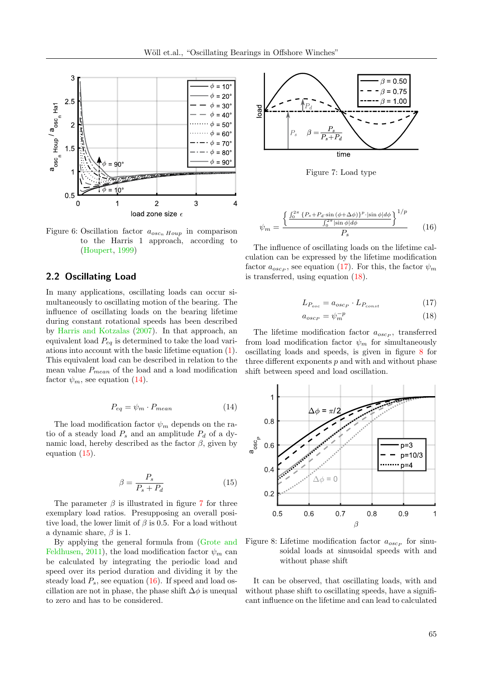

<span id="page-4-0"></span>Figure 6: Oscillation factor  $a_{osc_n Houp}$  in comparison to the Harris 1 approach, according to [\(Houpert,](#page-11-5) [1999\)](#page-11-5)

#### <span id="page-4-8"></span>2.2 Oscillating Load

In many applications, oscillating loads can occur simultaneously to oscillating motion of the bearing. The influence of oscillating loads on the bearing lifetime during constant rotational speeds has been described by [Harris and Kotzalas](#page-10-1) [\(2007\)](#page-10-1). In that approach, an equivalent load  $P_{eq}$  is determined to take the load variations into account with the basic lifetime equation [\(1\)](#page-1-2). This equivalent load can be described in relation to the mean value  $P_{mean}$  of the load and a load modification factor  $\psi_m$ , see equation [\(14\)](#page-4-1).

$$
P_{eq} = \psi_m \cdot P_{mean} \tag{14}
$$

The load modification factor  $\psi_m$  depends on the ratio of a steady load  $P_s$  and an amplitude  $P_d$  of a dynamic load, hereby described as the factor  $\beta$ , given by equation [\(15\)](#page-4-2).

$$
\beta = \frac{P_s}{P_s + P_d} \tag{15}
$$

The parameter  $\beta$  is illustrated in figure [7](#page-4-3) for three exemplary load ratios. Presupposing an overall positive load, the lower limit of  $\beta$  is 0.5. For a load without a dynamic share,  $\beta$  is 1.

By applying the general formula from [\(Grote and](#page-10-2) [Feldhusen,](#page-10-2) [2011\)](#page-10-2), the load modification factor  $\psi_m$  can be calculated by integrating the periodic load and speed over its period duration and dividing it by the steady load  $P_s$ , see equation [\(16\)](#page-4-4). If speed and load oscillation are not in phase, the phase shift  $\Delta\phi$  is unequal to zero and has to be considered.



<span id="page-4-4"></span><span id="page-4-3"></span>Figure 7: Load type

$$
\psi_m = \frac{\left\{ \frac{\int_0^{2\pi} \left\{ P_s + P_d \cdot \sin\left(\phi + \Delta\phi\right) \right\}^p \cdot \left| \sin\phi \right| d\phi}{\int_0^{2\pi} \left| \sin\phi \right| d\phi} \right\}^{1/p}}{P_s} \tag{16}
$$

The influence of oscillating loads on the lifetime calculation can be expressed by the lifetime modification factor  $a_{osc_P}$ , see equation [\(17\)](#page-4-5). For this, the factor  $\psi_m$ is transferred, using equation [\(18\)](#page-4-6).

<span id="page-4-5"></span>
$$
L_{P_{osc}} = a_{oscp} \cdot L_{P_{const}} \tag{17}
$$

<span id="page-4-6"></span>
$$
a_{osc_P} = \psi_m^{-p} \tag{18}
$$

The lifetime modification factor  $a_{osc_P}$ , transferred from load modification factor  $\psi_m$  for simultaneously oscillating loads and speeds, is given in figure [8](#page-4-7) for three different exponents  $p$  and with and without phase shift between speed and load oscillation.

<span id="page-4-1"></span>

<span id="page-4-7"></span><span id="page-4-2"></span>Figure 8: Lifetime modification factor  $a_{osc_P}$  for sinusoidal loads at sinusoidal speeds with and without phase shift

It can be observed, that oscillating loads, with and without phase shift to oscillating speeds, have a significant influence on the lifetime and can lead to calculated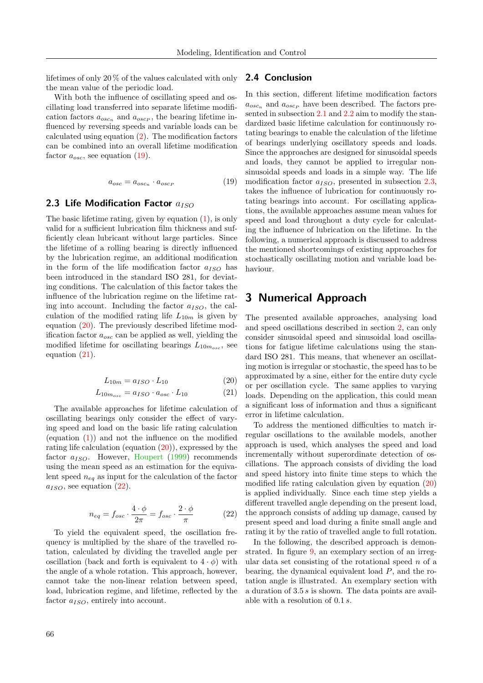lifetimes of only 20 % of the values calculated with only the mean value of the periodic load.

With both the influence of oscillating speed and oscillating load transferred into separate lifetime modification factors  $a_{osc_n}$  and  $a_{osc_p}$ , the bearing lifetime influenced by reversing speeds and variable loads can be calculated using equation [\(2\)](#page-2-0). The modification factors can be combined into an overall lifetime modification factor  $a_{osc}$ , see equation [\(19\)](#page-5-1).

$$
a_{osc} = a_{osc_n} \cdot a_{osc_p} \tag{19}
$$

#### <span id="page-5-5"></span>2.3 Life Modification Factor  $a_{ISO}$

The basic lifetime rating, given by equation [\(1\)](#page-1-2), is only valid for a sufficient lubrication film thickness and sufficiently clean lubricant without large particles. Since the lifetime of a rolling bearing is directly influenced by the lubrication regime, an additional modification in the form of the life modification factor  $a_{ISO}$  has been introduced in the standard ISO 281, for deviating conditions. The calculation of this factor takes the influence of the lubrication regime on the lifetime rating into account. Including the factor  $a_{ISO}$ , the calculation of the modified rating life  $L_{10m}$  is given by equation [\(20\)](#page-5-2). The previously described lifetime modification factor  $a_{osc}$  can be applied as well, yielding the modified lifetime for oscillating bearings  $L_{10m_{osc}}$ , see equation [\(21\)](#page-5-3).

$$
L_{10m} = a_{ISO} \cdot L_{10} \tag{20}
$$

$$
L_{10m_{osc}} = a_{ISO} \cdot a_{osc} \cdot L_{10} \tag{21}
$$

The available approaches for lifetime calculation of oscillating bearings only consider the effect of varying speed and load on the basic life rating calculation (equation  $(1)$ ) and not the influence on the modified rating life calculation (equation [\(20\)](#page-5-2)), expressed by the factor  $a_{ISO}$ . However, [Houpert](#page-11-5) [\(1999\)](#page-11-5) recommends using the mean speed as an estimation for the equivalent speed  $n_{eq}$  as input for the calculation of the factor  $a_{ISO}$ , see equation  $(22)$ .

$$
n_{eq} = f_{osc} \cdot \frac{4 \cdot \phi}{2\pi} = f_{osc} \cdot \frac{2 \cdot \phi}{\pi}
$$
 (22)

To yield the equivalent speed, the oscillation frequency is multiplied by the share of the travelled rotation, calculated by dividing the travelled angle per oscillation (back and forth is equivalent to  $4 \cdot \phi$ ) with the angle of a whole rotation. This approach, however, cannot take the non-linear relation between speed, load, lubrication regime, and lifetime, reflected by the factor  $a_{ISO}$ , entirely into account.

#### 2.4 Conclusion

<span id="page-5-1"></span>In this section, different lifetime modification factors  $a_{osc_n}$  and  $a_{osc_p}$  have been described. The factors presented in subsection [2.1](#page-2-6) and [2.2](#page-4-8) aim to modify the standardized basic lifetime calculation for continuously rotating bearings to enable the calculation of the lifetime of bearings underlying oscillatory speeds and loads. Since the approaches are designed for sinusoidal speeds and loads, they cannot be applied to irregular nonsinusoidal speeds and loads in a simple way. The life modification factor  $a_{ISO}$ , presented in subsection 2.3. takes the influence of lubrication for continuously rotating bearings into account. For oscillating applications, the available approaches assume mean values for speed and load throughout a duty cycle for calculating the influence of lubrication on the lifetime. In the following, a numerical approach is discussed to address the mentioned shortcomings of existing approaches for stochastically oscillating motion and variable load behaviour.

### <span id="page-5-0"></span>3 Numerical Approach

The presented available approaches, analysing load and speed oscillations described in section [2,](#page-1-1) can only consider sinusoidal speed and sinusoidal load oscillations for fatigue lifetime calculations using the standard ISO 281. This means, that whenever an oscillating motion is irregular or stochastic, the speed has to be approximated by a sine, either for the entire duty cycle or per oscillation cycle. The same applies to varying loads. Depending on the application, this could mean a significant loss of information and thus a significant error in lifetime calculation.

<span id="page-5-3"></span><span id="page-5-2"></span>To address the mentioned difficulties to match irregular oscillations to the available models, another approach is used, which analyses the speed and load incrementally without superordinate detection of oscillations. The approach consists of dividing the load and speed history into finite time steps to which the modified life rating calculation given by equation [\(20\)](#page-5-2) is applied individually. Since each time step yields a different travelled angle depending on the present load, the approach consists of adding up damage, caused by present speed and load during a finite small angle and rating it by the ratio of travelled angle to full rotation.

<span id="page-5-4"></span>In the following, the described approach is demonstrated. In figure [9,](#page-6-0) an exemplary section of an irregular data set consisting of the rotational speed  $n$  of a bearing, the dynamical equivalent load  $P$ , and the rotation angle is illustrated. An exemplary section with a duration of 3.5 s is shown. The data points are available with a resolution of 0.1 s.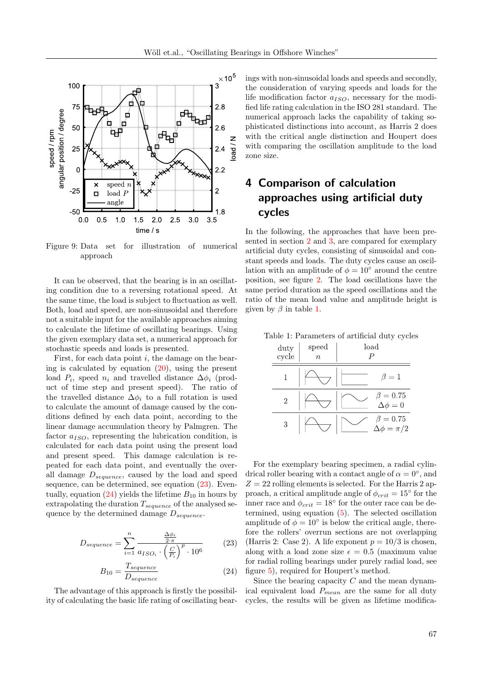

<span id="page-6-0"></span>Figure 9: Data set for illustration of numerical approach

It can be observed, that the bearing is in an oscillating condition due to a reversing rotational speed. At the same time, the load is subject to fluctuation as well. Both, load and speed, are non-sinusoidal and therefore not a suitable input for the available approaches aiming to calculate the lifetime of oscillating bearings. Using the given exemplary data set, a numerical approach for stochastic speeds and loads is presented.

First, for each data point  $i$ , the damage on the bearing is calculated by equation  $(20)$ , using the present load  $P_i$ , speed  $n_i$  and travelled distance  $\Delta \phi_i$  (product of time step and present speed). The ratio of the travelled distance  $\Delta \phi_i$  to a full rotation is used to calculate the amount of damage caused by the conditions defined by each data point, according to the linear damage accumulation theory by Palmgren. The factor  $a_{ISO}$ , representing the lubrication condition, is calculated for each data point using the present load and present speed. This damage calculation is repeated for each data point, and eventually the overall damage  $D_{sequence}$ , caused by the load and speed sequence, can be determined, see equation [\(23\)](#page-6-1). Even-tually, equation [\(24\)](#page-6-2) yields the lifetime  $B_{10}$  in hours by extrapolating the duration  $T_{sequence}$  of the analysed sequence by the determined damage  $D_{sequence}$ .

$$
D_{sequence} = \sum_{i=1}^{n} \frac{\frac{\Delta \phi_i}{2 \cdot \pi}}{a_{ISO_i} \cdot \left(\frac{C}{P_i}\right)^p \cdot 10^6}
$$
 (23)

$$
B_{10} = \frac{T_{sequence}}{D_{sequence}}\tag{24}
$$

The advantage of this approach is firstly the possibility of calculating the basic life rating of oscillating bearings with non-sinusoidal loads and speeds and secondly, the consideration of varying speeds and loads for the life modification factor  $a_{ISO}$ , necessary for the modified life rating calculation in the ISO 281 standard. The numerical approach lacks the capability of taking sophisticated distinctions into account, as Harris 2 does with the critical angle distinction and Houpert does with comparing the oscillation amplitude to the load zone size.

# <span id="page-6-4"></span>4 Comparison of calculation approaches using artificial duty cycles

In the following, the approaches that have been presented in section [2](#page-1-1) and [3,](#page-5-0) are compared for exemplary artificial duty cycles, consisting of sinusoidal and constant speeds and loads. The duty cycles cause an oscillation with an amplitude of  $\phi = 10^{\circ}$  around the centre position, see figure [2.](#page-1-3) The load oscillations have the same period duration as the speed oscillations and the ratio of the mean load value and amplitude height is given by  $\beta$  in table [1.](#page-6-3)

<span id="page-6-3"></span>

| duty<br>cycle | speed<br>$\boldsymbol{n}$ | load<br>P                           |
|---------------|---------------------------|-------------------------------------|
|               |                           | $\beta=1$                           |
| 2             |                           | $\beta = 0.75$<br>$\Delta \phi = 0$ |
| 3             |                           | $\beta = 0.75$<br>$=\pi/2$          |

Table 1: Parameters of artificial duty cycles

For the exemplary bearing specimen, a radial cylindrical roller bearing with a contact angle of  $\alpha = 0^{\circ}$ , and  $Z = 22$  rolling elements is selected. For the Harris 2 approach, a critical amplitude angle of  $\phi_{crit} = 15^{\circ}$  for the inner race and  $\phi_{crit} = 18^{\circ}$  for the outer race can be determined, using equation [\(5\)](#page-2-5). The selected oscillation amplitude of  $\phi = 10^{\circ}$  is below the critical angle, therefore the rollers' overrun sections are not overlapping (Harris 2: Case 2). A life exponent  $p = 10/3$  is chosen, along with a load zone size  $\epsilon = 0.5$  (maximum value) for radial rolling bearings under purely radial load, see figure [5\)](#page-3-7), required for Houpert's method.

<span id="page-6-2"></span><span id="page-6-1"></span>Since the bearing capacity  $C$  and the mean dynamical equivalent load  $P_{mean}$  are the same for all duty cycles, the results will be given as lifetime modifica-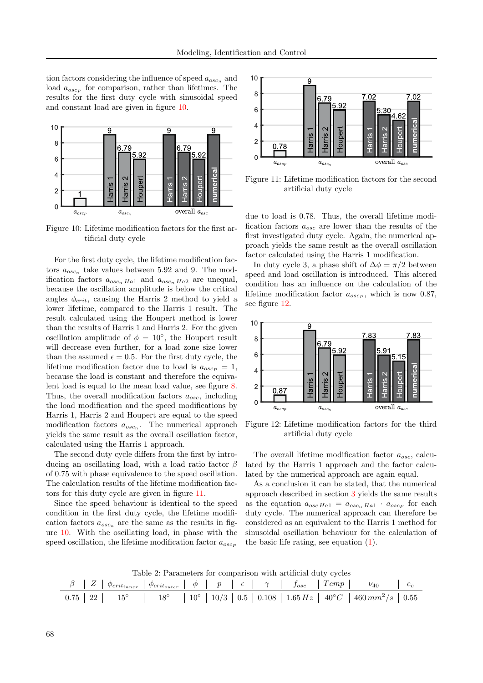tion factors considering the influence of speed  $a_{osc_n}$  and load  $a_{osc_P}$  for comparison, rather than lifetimes. The results for the first duty cycle with sinusoidal speed and constant load are given in figure [10.](#page-7-0)



<span id="page-7-0"></span>Figure 10: Lifetime modification factors for the first artificial duty cycle

For the first duty cycle, the lifetime modification factors  $a_{osc_n}$  take values between 5.92 and 9. The modification factors  $a_{osc_n Ha1}$  and  $a_{osc_n Ha2}$  are unequal, because the oscillation amplitude is below the critical angles  $\phi_{crit}$ , causing the Harris 2 method to yield a lower lifetime, compared to the Harris 1 result. The result calculated using the Houpert method is lower than the results of Harris 1 and Harris 2. For the given oscillation amplitude of  $\phi = 10^{\circ}$ , the Houpert result will decrease even further, for a load zone size lower than the assumed  $\epsilon = 0.5$ . For the first duty cycle, the lifetime modification factor due to load is  $a_{oscp} = 1$ , because the load is constant and therefore the equivalent load is equal to the mean load value, see figure [8.](#page-4-7) Thus, the overall modification factors  $a_{osc}$ , including the load modification and the speed modifications by Harris 1, Harris 2 and Houpert are equal to the speed modification factors  $a_{osc_n}$ . The numerical approach yields the same result as the overall oscillation factor, calculated using the Harris 1 approach.

The second duty cycle differs from the first by introducing an oscillating load, with a load ratio factor  $\beta$ of 0.75 with phase equivalence to the speed oscillation. The calculation results of the lifetime modification factors for this duty cycle are given in figure [11.](#page-7-1)

Since the speed behaviour is identical to the speed condition in the first duty cycle, the lifetime modification factors  $a_{osc_n}$  are the same as the results in figure [10.](#page-7-0) With the oscillating load, in phase with the speed oscillation, the lifetime modification factor  $a_{oscp}$ 



<span id="page-7-1"></span>Figure 11: Lifetime modification factors for the second artificial duty cycle

due to load is 0.78. Thus, the overall lifetime modification factors  $a_{osc}$  are lower than the results of the first investigated duty cycle. Again, the numerical approach yields the same result as the overall oscillation factor calculated using the Harris 1 modification.

In duty cycle 3, a phase shift of  $\Delta \phi = \pi/2$  between speed and load oscillation is introduced. This altered condition has an influence on the calculation of the lifetime modification factor  $a_{osc_P}$ , which is now 0.87, see figure [12.](#page-7-2)



<span id="page-7-2"></span>Figure 12: Lifetime modification factors for the third artificial duty cycle

The overall lifetime modification factor  $a_{osc}$ , calculated by the Harris 1 approach and the factor calculated by the numerical approach are again equal.

As a conclusion it can be stated, that the numerical approach described in section [3](#page-5-0) yields the same results as the equation  $a_{osc Ha1} = a_{osc_n Ha1} \cdot a_{osc_p}$  for each duty cycle. The numerical approach can therefore be considered as an equivalent to the Harris 1 method for sinusoidal oscillation behaviour for the calculation of the basic life rating, see equation [\(1\)](#page-1-2).

<span id="page-7-3"></span>Table 2: Parameters for comparison with artificial duty cycles

|  |  |  |  | $\beta \left[ \begin{array}{c c c c c c} Z & \phi_{crit_{inner}} & \phi_{crit_{outer}} & \phi & p & \epsilon & \gamma & f_{osc} & Temp & \nu_{40} & \epsilon \end{array} \right]$ |  |
|--|--|--|--|-----------------------------------------------------------------------------------------------------------------------------------------------------------------------------------|--|
|  |  |  |  | $0.75 \mid 22 \mid 15^{\circ} \mid 18^{\circ} \mid 10^{\circ} \mid 10/3 \mid 0.5 \mid 0.108 \mid 1.65 Hz \mid 40^{\circ}C \mid 460 \, mm^2/s \mid 0.55$                           |  |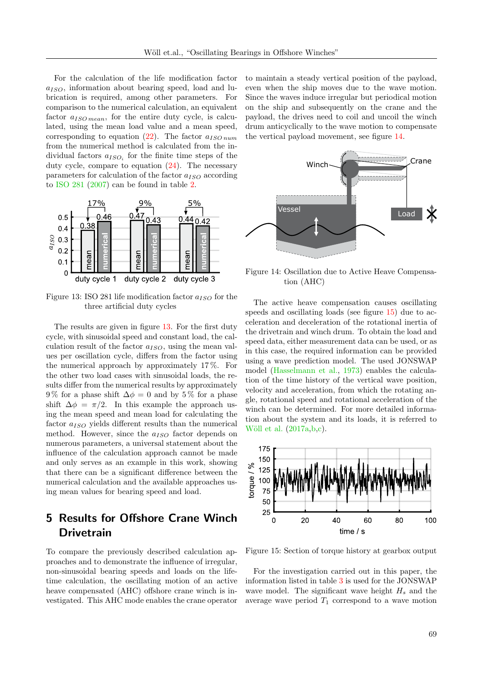For the calculation of the life modification factor  $a_{ISO}$ , information about bearing speed, load and lubrication is required, among other parameters. For comparison to the numerical calculation, an equivalent factor  $a_{ISO\,mean}$ , for the entire duty cycle, is calculated, using the mean load value and a mean speed, corresponding to equation [\(22\)](#page-5-4). The factor  $a_{ISO\,num}$ from the numerical method is calculated from the individual factors  $a_{ISO_i}$  for the finite time steps of the duty cycle, compare to equation [\(24\)](#page-6-2). The necessary parameters for calculation of the factor  $a_{ISO}$  according to [ISO 281](#page-11-1) [\(2007\)](#page-11-1) can be found in table [2.](#page-7-3)



<span id="page-8-0"></span>Figure 13: ISO 281 life modification factor  $a_{ISO}$  for the three artificial duty cycles

The results are given in figure [13.](#page-8-0) For the first duty cycle, with sinusoidal speed and constant load, the calculation result of the factor  $a_{ISO}$ , using the mean values per oscillation cycle, differs from the factor using the numerical approach by approximately 17 %. For the other two load cases with sinusoidal loads, the results differ from the numerical results by approximately 9% for a phase shift  $\Delta \phi = 0$  and by 5% for a phase shift  $\Delta \phi = \pi/2$ . In this example the approach using the mean speed and mean load for calculating the factor  $a_{ISO}$  yields different results than the numerical method. However, since the  $a_{ISO}$  factor depends on numerous parameters, a universal statement about the influence of the calculation approach cannot be made and only serves as an example in this work, showing that there can be a significant difference between the numerical calculation and the available approaches using mean values for bearing speed and load.

# 5 Results for Offshore Crane Winch **Drivetrain**

To compare the previously described calculation approaches and to demonstrate the influence of irregular, non-sinusoidal bearing speeds and loads on the lifetime calculation, the oscillating motion of an active heave compensated (AHC) offshore crane winch is investigated. This AHC mode enables the crane operator to maintain a steady vertical position of the payload, even when the ship moves due to the wave motion. Since the waves induce irregular but periodical motion on the ship and subsequently on the crane and the payload, the drives need to coil and uncoil the winch drum anticyclically to the wave motion to compensate the vertical payload movement, see figure [14.](#page-8-1)



<span id="page-8-1"></span>Figure 14: Oscillation due to Active Heave Compensation (AHC)

The active heave compensation causes oscillating speeds and oscillating loads (see figure [15\)](#page-8-2) due to acceleration and deceleration of the rotational inertia of the drivetrain and winch drum. To obtain the load and speed data, either measurement data can be used, or as in this case, the required information can be provided using a wave prediction model. The used JONSWAP model [\(Hasselmann et al.,](#page-10-3) [1973\)](#page-10-3) enables the calculation of the time history of the vertical wave position, velocity and acceleration, from which the rotating angle, rotational speed and rotational acceleration of the winch can be determined. For more detailed information about the system and its loads, it is referred to Wöll et al.  $(2017a,b,c)$  $(2017a,b,c)$  $(2017a,b,c)$ .



<span id="page-8-2"></span>Figure 15: Section of torque history at gearbox output

For the investigation carried out in this paper, the information listed in table [3](#page-9-0) is used for the JONSWAP wave model. The significant wave height  $H_s$  and the average wave period  $T_1$  correspond to a wave motion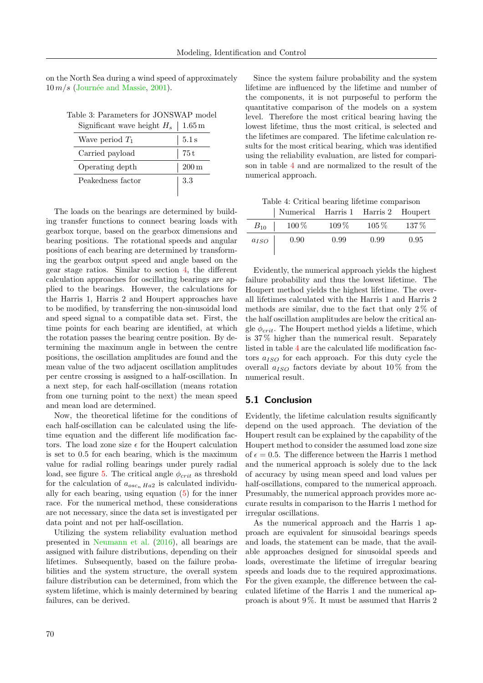on the North Sea during a wind speed of approximately  $10 \, m/s$  (Journée and Massie, [2001\)](#page-11-9).

|  | Table 3: Parameters for JONSWAP model |  |  |
|--|---------------------------------------|--|--|
|  |                                       |  |  |

<span id="page-9-0"></span>

| Significant wave height $H_s$ | $1.65\,\mathrm{m}$ |
|-------------------------------|--------------------|
| Wave period $T_1$             | 5.1 s              |
| Carried payload               | 75 t               |
| Operating depth               | $200\,\mathrm{m}$  |
| Peakedness factor             | 3.3                |
|                               |                    |

The loads on the bearings are determined by building transfer functions to connect bearing loads with gearbox torque, based on the gearbox dimensions and bearing positions. The rotational speeds and angular positions of each bearing are determined by transforming the gearbox output speed and angle based on the gear stage ratios. Similar to section [4,](#page-6-4) the different calculation approaches for oscillating bearings are applied to the bearings. However, the calculations for the Harris 1, Harris 2 and Houpert approaches have to be modified, by transferring the non-sinusoidal load and speed signal to a compatible data set. First, the time points for each bearing are identified, at which the rotation passes the bearing centre position. By determining the maximum angle in between the centre positions, the oscillation amplitudes are found and the mean value of the two adjacent oscillation amplitudes per centre crossing is assigned to a half-oscillation. In a next step, for each half-oscillation (means rotation from one turning point to the next) the mean speed and mean load are determined.

Now, the theoretical lifetime for the conditions of each half-oscillation can be calculated using the lifetime equation and the different life modification factors. The load zone size  $\epsilon$  for the Houpert calculation is set to 0.5 for each bearing, which is the maximum value for radial rolling bearings under purely radial load, see figure [5.](#page-3-7) The critical angle  $\phi_{crit}$  as threshold for the calculation of  $a_{osc, Ha2}$  is calculated individually for each bearing, using equation [\(5\)](#page-2-5) for the inner race. For the numerical method, these considerations are not necessary, since the data set is investigated per data point and not per half-oscillation.

Utilizing the system reliability evaluation method presented in [Neumann et al.](#page-11-10) [\(2016\)](#page-11-10), all bearings are assigned with failure distributions, depending on their lifetimes. Subsequently, based on the failure probabilities and the system structure, the overall system failure distribution can be determined, from which the system lifetime, which is mainly determined by bearing failures, can be derived.

Since the system failure probability and the system lifetime are influenced by the lifetime and number of the components, it is not purposeful to perform the quantitative comparison of the models on a system level. Therefore the most critical bearing having the lowest lifetime, thus the most critical, is selected and the lifetimes are compared. The lifetime calculation results for the most critical bearing, which was identified using the reliability evaluation, are listed for comparison in table [4](#page-9-1) and are normalized to the result of the numerical approach.

<span id="page-9-1"></span>Table 4: Critical bearing lifetime comparison

|           | Numerical Harris 1 Harris 2 Houpert |         |         |      |
|-----------|-------------------------------------|---------|---------|------|
| $B_{10}$  | $100\%$                             | $109\%$ | $105\%$ | 137% |
| $a_{ISO}$ | 0.90                                | 0.99    | 0.99    | 0.95 |

Evidently, the numerical approach yields the highest failure probability and thus the lowest lifetime. The Houpert method yields the highest lifetime. The overall lifetimes calculated with the Harris 1 and Harris 2 methods are similar, due to the fact that only  $2\%$  of the half oscillation amplitudes are below the critical angle  $\phi_{crit}$ . The Houpert method yields a lifetime, which is 37 % higher than the numerical result. Separately listed in table [4](#page-9-1) are the calculated life modification factors  $a_{ISO}$  for each approach. For this duty cycle the overall  $a_{ISO}$  factors deviate by about 10% from the numerical result.

#### 5.1 Conclusion

Evidently, the lifetime calculation results significantly depend on the used approach. The deviation of the Houpert result can be explained by the capability of the Houpert method to consider the assumed load zone size of  $\epsilon = 0.5$ . The difference between the Harris 1 method and the numerical approach is solely due to the lack of accuracy by using mean speed and load values per half-oscillations, compared to the numerical approach. Presumably, the numerical approach provides more accurate results in comparison to the Harris 1 method for irregular oscillations.

As the numerical approach and the Harris 1 approach are equivalent for sinusoidal bearings speeds and loads, the statement can be made, that the available approaches designed for sinusoidal speeds and loads, overestimate the lifetime of irregular bearing speeds and loads due to the required approximations. For the given example, the difference between the calculated lifetime of the Harris 1 and the numerical approach is about 9 %. It must be assumed that Harris 2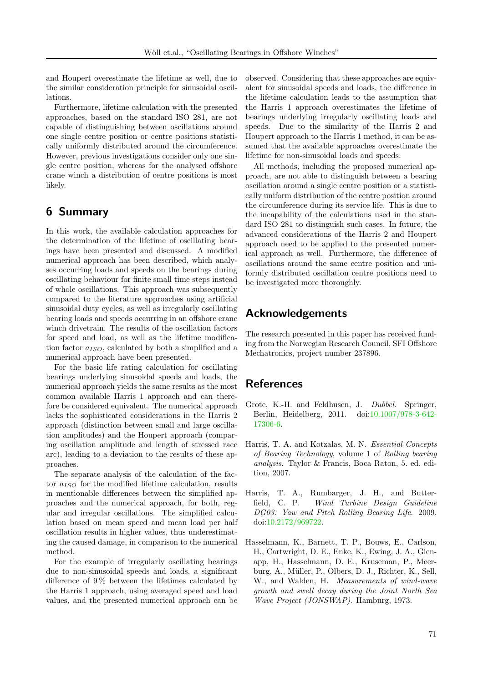and Houpert overestimate the lifetime as well, due to the similar consideration principle for sinusoidal oscillations.

Furthermore, lifetime calculation with the presented approaches, based on the standard ISO 281, are not capable of distinguishing between oscillations around one single centre position or centre positions statistically uniformly distributed around the circumference. However, previous investigations consider only one single centre position, whereas for the analysed offshore crane winch a distribution of centre positions is most likely.

# 6 Summary

In this work, the available calculation approaches for the determination of the lifetime of oscillating bearings have been presented and discussed. A modified numerical approach has been described, which analyses occurring loads and speeds on the bearings during oscillating behaviour for finite small time steps instead of whole oscillations. This approach was subsequently compared to the literature approaches using artificial sinusoidal duty cycles, as well as irregularly oscillating bearing loads and speeds occurring in an offshore crane winch drivetrain. The results of the oscillation factors for speed and load, as well as the lifetime modification factor  $a_{ISO}$ , calculated by both a simplified and a numerical approach have been presented.

For the basic life rating calculation for oscillating bearings underlying sinusoidal speeds and loads, the numerical approach yields the same results as the most common available Harris 1 approach and can therefore be considered equivalent. The numerical approach lacks the sophisticated considerations in the Harris 2 approach (distinction between small and large oscillation amplitudes) and the Houpert approach (comparing oscillation amplitude and length of stressed race arc), leading to a deviation to the results of these approaches.

The separate analysis of the calculation of the factor  $a_{ISO}$  for the modified lifetime calculation, results in mentionable differences between the simplified approaches and the numerical approach, for both, regular and irregular oscillations. The simplified calculation based on mean speed and mean load per half oscillation results in higher values, thus underestimating the caused damage, in comparison to the numerical method.

For the example of irregularly oscillating bearings due to non-sinusoidal speeds and loads, a significant difference of 9 % between the lifetimes calculated by the Harris 1 approach, using averaged speed and load values, and the presented numerical approach can be observed. Considering that these approaches are equivalent for sinusoidal speeds and loads, the difference in the lifetime calculation leads to the assumption that the Harris 1 approach overestimates the lifetime of bearings underlying irregularly oscillating loads and speeds. Due to the similarity of the Harris 2 and Houpert approach to the Harris 1 method, it can be assumed that the available approaches overestimate the lifetime for non-sinusoidal loads and speeds.

All methods, including the proposed numerical approach, are not able to distinguish between a bearing oscillation around a single centre position or a statistically uniform distribution of the centre position around the circumference during its service life. This is due to the incapability of the calculations used in the standard ISO 281 to distinguish such cases. In future, the advanced considerations of the Harris 2 and Houpert approach need to be applied to the presented numerical approach as well. Furthermore, the difference of oscillations around the same centre position and uniformly distributed oscillation centre positions need to be investigated more thoroughly.

### Acknowledgements

The research presented in this paper has received funding from the Norwegian Research Council, SFI Offshore Mechatronics, project number 237896.

## References

- <span id="page-10-2"></span>Grote, K.-H. and Feldhusen, J. Dubbel. Springer, Berlin, Heidelberg, 2011. doi[:10.1007/978-3-642-](http://dx.doi.org/10.1007/978-3-642-17306-6) [17306-6.](http://dx.doi.org/10.1007/978-3-642-17306-6)
- <span id="page-10-1"></span>Harris, T. A. and Kotzalas, M. N. Essential Concepts of Bearing Technology, volume 1 of Rolling bearing analysis. Taylor & Francis, Boca Raton, 5. ed. edition, 2007.
- <span id="page-10-0"></span>Harris, T. A., Rumbarger, J. H., and Butterfield, C. P. Wind Turbine Design Guideline DG03: Yaw and Pitch Rolling Bearing Life. 2009. doi[:10.2172/969722.](http://dx.doi.org/10.2172/969722)
- <span id="page-10-3"></span>Hasselmann, K., Barnett, T. P., Bouws, E., Carlson, H., Cartwright, D. E., Enke, K., Ewing, J. A., Gienapp, H., Hasselmann, D. E., Kruseman, P., Meerburg, A., Müller, P., Olbers, D. J., Richter, K., Sell, W., and Walden, H. Measurements of wind-wave growth and swell decay during the Joint North Sea Wave Project (JONSWAP). Hamburg, 1973.